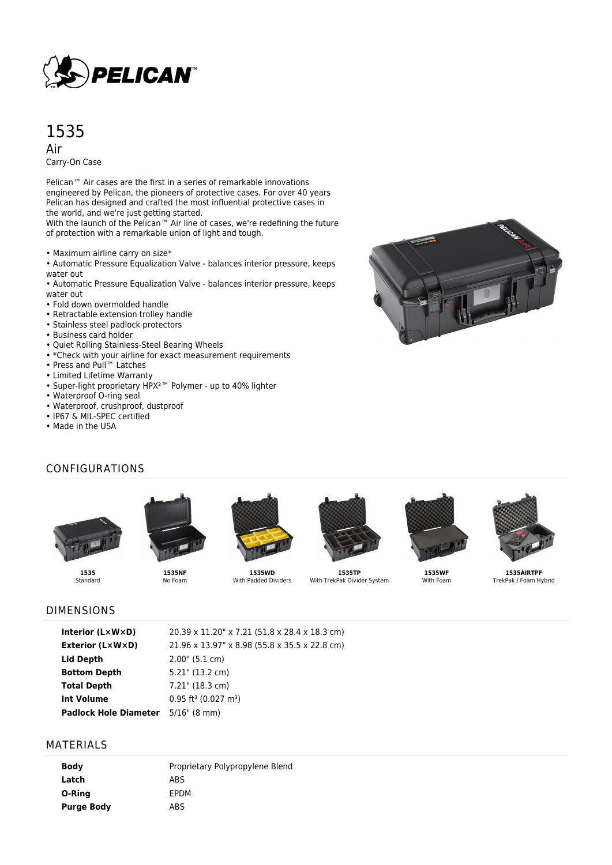

# 1535

Air Carry-On Case

Pelican<sup>™</sup> Air cases are the first in a series of remarkable innovations engineered by Pelican, the pioneers of protective cases. For over 40 years Pelican has designed and crafted the most influential protective cases in the world, and we're just getting started.

With the launch of the Pelican™ Air line of cases, we're redefining the future of protection with a remarkable union of light and tough.

• Maximum airline carry on size\*

• Automatic Pressure Equalization Valve - balances interior pressure, keeps water out

• Automatic Pressure Equalization Valve - balances interior pressure, keeps water out

- Fold down overmolded handle
- Retractable extension trolley handle
- Stainless steel padlock protectors
- Business card holder
- Quiet Rolling Stainless-Steel Bearing Wheels
- \*Check with your airline for exact measurement requirements
- Press and Pull™ Latches
- Limited Lifetime Warranty
- Super-light proprietary HPX²™ Polymer up to 40% lighter
- Waterproof O-ring seal
- Waterproof, crushproof, dustproof
- IP67 & MIL-SPEC certified
- Made in the USA

# CONFIGURATIONS





**1535NF** No Foam



**1535** Standard

**1535WD** With Padded Dividers

**1535TP** With TrekPak Divider System



**1535WF** With Foam



**1535AIRTPF** TrekPak / Foam Hybrid

## DIMENSIONS

| Interior $(L \times W \times D)$          | 20.39 x 11.20" x 7.21 (51.8 x 28.4 x 18.3 cm)  |
|-------------------------------------------|------------------------------------------------|
| Exterior (L×W×D)                          | 21.96 x 13.97" x 8.98 (55.8 x 35.5 x 22.8 cm)  |
| Lid Depth                                 | $2.00$ " (5.1 cm)                              |
| <b>Bottom Depth</b>                       | 5.21" (13.2 cm)                                |
| <b>Total Depth</b>                        | 7.21" (18.3 cm)                                |
| <b>Int Volume</b>                         | $0.95$ ft <sup>3</sup> (0.027 m <sup>3</sup> ) |
| <b>Padlock Hole Diameter</b> 5/16" (8 mm) |                                                |
|                                           |                                                |

#### MATERIALS

| <b>Body</b>       | Proprietary Polypropylene Blend |
|-------------------|---------------------------------|
| Latch             | ABS                             |
| O-Ring            | <b>FPDM</b>                     |
| <b>Purge Body</b> | ABS                             |